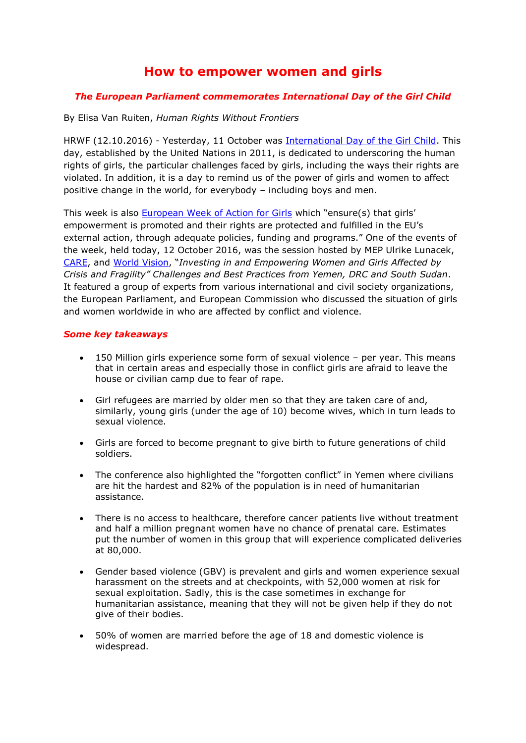## **How to empower women and girls**

## *The European Parliament commemorates International Day of the Girl Child*

By Elisa Van Ruiten, *Human Rights Without Frontiers*

HRWF (12.10.2016) - Yesterday, 11 October was [International Day of the Girl Child.](http://www.un.org/en/events/girlchild/index.shtml) This day, established by the United Nations in 2011, is dedicated to underscoring the human rights of girls, the particular challenges faced by girls, including the ways their rights are violated. In addition, it is a day to remind us of the power of girls and women to affect positive change in the world, for everybody – including boys and men.

This week is also [European Week of Action for Girls](http://europeanweekofactionforgirls.org/) which "ensure(s) that girls' empowerment is promoted and their rights are protected and fulfilled in the EU's external action, through adequate policies, funding and programs." One of the events of the week, held today, 12 October 2016, was the session hosted by MEP Ulrike Lunacek, [CARE,](http://www.care.org/) and [World Vision](http://www.wvi.org/), "*Investing in and Empowering Women and Girls Affected by Crisis and Fragility" Challenges and Best Practices from Yemen, DRC and South Sudan*. It featured a group of experts from various international and civil society organizations, the European Parliament, and European Commission who discussed the situation of girls and women worldwide in who are affected by conflict and violence.

## *Some key takeaways*

- 150 Million girls experience some form of sexual violence per year. This means that in certain areas and especially those in conflict girls are afraid to leave the house or civilian camp due to fear of rape.
- Girl refugees are married by older men so that they are taken care of and, similarly, young girls (under the age of 10) become wives, which in turn leads to sexual violence.
- Girls are forced to become pregnant to give birth to future generations of child soldiers.
- The conference also highlighted the "forgotten conflict" in Yemen where civilians are hit the hardest and 82% of the population is in need of humanitarian assistance.
- There is no access to healthcare, therefore cancer patients live without treatment and half a million pregnant women have no chance of prenatal care. Estimates put the number of women in this group that will experience complicated deliveries at 80,000.
- Gender based violence (GBV) is prevalent and girls and women experience sexual harassment on the streets and at checkpoints, with 52,000 women at risk for sexual exploitation. Sadly, this is the case sometimes in exchange for humanitarian assistance, meaning that they will not be given help if they do not give of their bodies.
- 50% of women are married before the age of 18 and domestic violence is widespread.